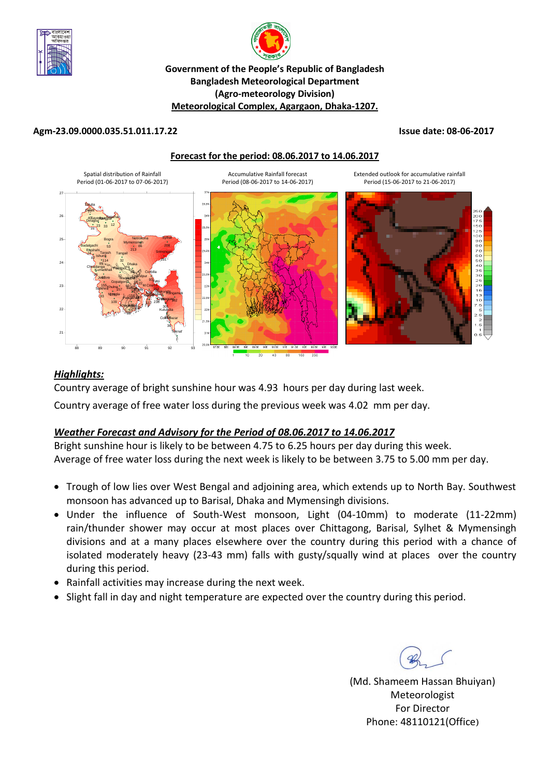



### **Government of the People's Republic of Bangladesh Bangladesh Meteorological Department (Agro-meteorology Division) Meteorological Complex, Agargaon, Dhaka-1207.**

### **Agm-23.09.0000.035.51.011.17.22 Issue date: 08-06-2017**

### **Forecast for the period: 08.06.2017 to 14.06.2017**



### *Highlights:*

Country average of bright sunshine hour was 4.93 hours per day during last week.

Country average of free water loss during the previous week was 4.02 mm per day.

### *Weather Forecast and Advisory for the Period of 08.06.2017 to 14.06.2017*

Bright sunshine hour is likely to be between 4.75 to 6.25 hours per day during this week. Average of free water loss during the next week is likely to be between 3.75 to 5.00 mm per day.

- Trough of low lies over West Bengal and adjoining area, which extends up to North Bay. Southwest monsoon has advanced up to Barisal, Dhaka and Mymensingh divisions.
- Under the influence of South-West monsoon, Light (04-10mm) to moderate (11-22mm) rain/thunder shower may occur at most places over Chittagong, Barisal, Sylhet & Mymensingh divisions and at a many places elsewhere over the country during this period with a chance of isolated moderately heavy (23-43 mm) falls with gusty/squally wind at places over the country during this period.
- Rainfall activities may increase during the next week.
- Slight fall in day and night temperature are expected over the country during this period.

(Md. Shameem Hassan Bhuiyan) Meteorologist For Director Phone: 48110121(Office)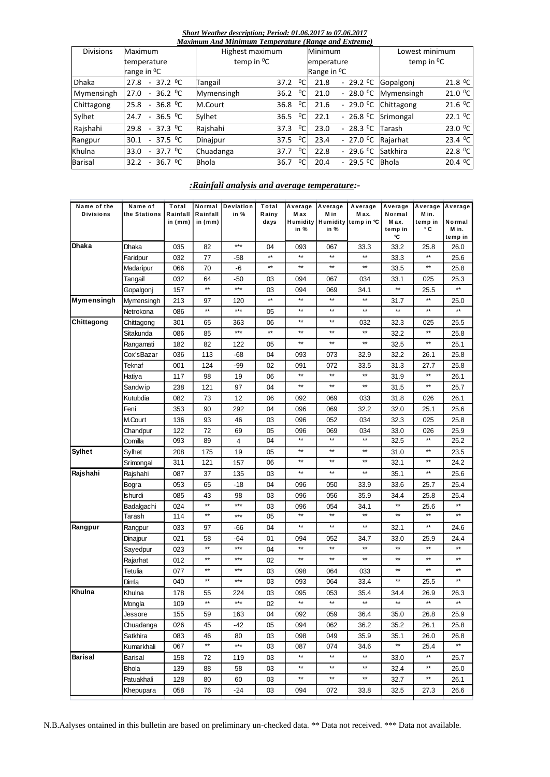#### *Short Weather description; Period: 01.06.2017 to 07.06.2017 Maximum And Minimum Temperature (Range and Extreme)*

| махітит Апа ічнітит і етрегаште<br>(Kange ana Exireme) |                                                         |                        |      |                |                         |                        |                   |                     |  |  |
|--------------------------------------------------------|---------------------------------------------------------|------------------------|------|----------------|-------------------------|------------------------|-------------------|---------------------|--|--|
| <b>Divisions</b>                                       | Maximum                                                 | Highest maximum        |      |                | Minimum                 |                        | Lowest minimum    |                     |  |  |
|                                                        | temperature                                             | temp in <sup>o</sup> C |      |                | emperature              |                        | temp in ${}^{0}C$ |                     |  |  |
|                                                        | range in <sup>o</sup> C                                 |                        |      |                | Range in <sup>o</sup> C |                        |                   |                     |  |  |
| <b>Dhaka</b>                                           | 37.2 <sup>0</sup> C<br>27.8<br>$\sim$                   | Tangail                | 37.2 | $^0C$          | 21.8                    | $-29.2$ <sup>0</sup> C | Gopalgoni         | 21.8 $^0C$          |  |  |
| Mymensingh                                             | 36.2 <sup>o</sup> C<br>27.0<br>٠                        | Mymensingh             | 36.2 | $^0C$          | 21.0                    | $-28.0 °C$             | Mymensingh        | 21.0 °C             |  |  |
| Chittagong                                             | 36.8 $^0C$<br>25.8<br>$\sim$                            | M.Court                | 36.8 | $^0C$          | 21.6                    | $-29.0$ <sup>o</sup> C | Chittagong        | 21.6 $^0C$          |  |  |
| Sylhet                                                 | 36.5 <sup>o</sup> C<br>24.7<br>$\sim$                   | Sylhet                 | 36.5 | $^0C$          | 22.1                    | $-26.8 °C$             | Srimongal         | 22.1 $^0C$          |  |  |
| Rajshahi                                               | 37.3 <sup>o</sup> C<br>29.8<br>$\sim$                   | Rajshahi               | 37.3 | 0 <sub>C</sub> | 23.0                    | $-28.3 \degree C$      | Tarash            | 23.0 °C             |  |  |
| Rangpur                                                | 37.5 <sup>o</sup> C<br>30.1<br>$\overline{\phantom{a}}$ | Dinajpur               | 37.5 | $^0C$          | 23.4                    | $-27.0 °C$             | Rajarhat          | 23.4 <sup>o</sup> C |  |  |
| Khulna                                                 | 37.7 <sup>0</sup> C<br>33.0<br>٠                        | Chuadanga              | 37.7 | $^0C$          | 22.8                    | $-29.6 °C$             | Satkhira          | 22.8 $^0C$          |  |  |
| <b>Barisal</b>                                         | 36.7 <sup>o</sup> C<br>32.2<br>٠                        | <b>Bhola</b>           | 36.7 | $^0C$          | 20.4                    | $-29.5 °C$             | <b>Bhola</b>      | 20.4 $^0C$          |  |  |

### *:Rainfall analysis and average temperature:-*

| Name of the<br><b>Divisions</b> | Name of<br>the Stations | Total<br>Rainfall<br>in $(mm)$ | Rainfall<br>in $(mm)$ | Normal Deviation<br>in % | Total<br>Rainy<br>days | M ax<br>in %    | Average Average<br>M in<br>in % | Average<br>M ax.<br>Humidity Humidity temp in °C | Average<br>Normal<br>M ax.<br>temp in<br>°C | Average Average<br>M in.<br>temp in<br>۰c | Normal<br>M in.<br>temp in |
|---------------------------------|-------------------------|--------------------------------|-----------------------|--------------------------|------------------------|-----------------|---------------------------------|--------------------------------------------------|---------------------------------------------|-------------------------------------------|----------------------------|
| Dhaka                           | Dhaka                   | 035                            | 82                    | $***$                    | 04                     | 093             | 067                             | 33.3                                             | 33.2                                        | 25.8                                      | 26.0                       |
|                                 | Faridpur                | 032                            | 77                    | -58                      | $\star\star$           | $^{\star\star}$ | **                              | $**$                                             | 33.3                                        | **                                        | 25.6                       |
|                                 | Madaripur               | 066                            | 70                    | -6                       | $\star\star$           | $^{\star\star}$ | **                              | $***$                                            | 33.5                                        | **                                        | 25.8                       |
|                                 | Tangail                 | 032                            | 64                    | -50                      | 03                     | 094             | 067                             | 034                                              | 33.1                                        | 025                                       | 25.3                       |
|                                 | Gopalgonj               | 157                            | $^{\star\star}$       | ***                      | 03                     | 094             | 069                             | 34.1                                             | $\star\star$                                | 25.5                                      | $**$                       |
| Mymensingh                      | Mymensingh              | 213                            | 97                    | 120                      | $\star\star$           | $^{\star\star}$ | $\star\star$                    | $\star\star$                                     | 31.7                                        | **                                        | 25.0                       |
|                                 | Netrokona               | 086                            | $\star\star$          | ***                      | 05                     | $\star\star$    | $\star\star$                    | $\star\star$                                     | $\star\star$                                | $\star\star$                              | $\star\star$               |
| Chittagong                      | Chittagong              | 301                            | 65                    | 363                      | 06                     | $\star\star$    | $\star\star$                    | 032                                              | 32.3                                        | 025                                       | 25.5                       |
|                                 | Sitakunda               | 086                            | 85                    | ***                      | $\star\star$           | $^{\star\star}$ | $**$                            | $**$                                             | 32.2                                        | $\star\star$                              | 25.8                       |
|                                 | Rangamati               | 182                            | 82                    | 122                      | 05                     | $^{\star\star}$ | $^{\star\star}$                 | $\star\star$                                     | 32.5                                        | $**$                                      | 25.1                       |
|                                 | Cox'sBazar              | 036                            | 113                   | -68                      | 04                     | 093             | 073                             | 32.9                                             | 32.2                                        | 26.1                                      | 25.8                       |
|                                 | Teknaf                  | 001                            | 124                   | -99                      | 02                     | 091             | 072                             | 33.5                                             | 31.3                                        | 27.7                                      | 25.8                       |
|                                 | Hatiya                  | 117                            | 98                    | 19                       | 06                     | $^{\star\star}$ | $^{\star\star}$                 | $**$                                             | 31.9                                        | **                                        | 26.1                       |
|                                 | Sandw ip                | 238                            | 121                   | 97                       | 04                     | $^{\star\star}$ | $^{\star\star}$                 | $^{\star\star}$                                  | 31.5                                        | $**$                                      | 25.7                       |
|                                 | Kutubdia                | 082                            | 73                    | 12                       | 06                     | 092             | 069                             | 033                                              | 31.8                                        | 026                                       | 26.1                       |
|                                 | Feni                    | 353                            | 90                    | 292                      | 04                     | 096             | 069                             | 32.2                                             | 32.0                                        | 25.1                                      | 25.6                       |
|                                 | M.Court                 | 136                            | 93                    | 46                       | 03                     | 096             | 052                             | 034                                              | 32.3                                        | 025                                       | 25.8                       |
|                                 | Chandpur                | 122                            | 72                    | 69                       | 05                     | 096             | 069                             | 034                                              | 33.0                                        | 026                                       | 25.9                       |
|                                 | Comilla                 | 093                            | 89                    | 4                        | 04                     | $**$            | $\star\star$                    | $**$                                             | 32.5                                        | **                                        | 25.2                       |
| <b>Sylhet</b>                   | Sylhet                  | 208                            | 175                   | 19                       | 05                     | $^{\star\star}$ | $^{\star\star}$                 | $**$                                             | 31.0                                        | **                                        | 23.5                       |
|                                 | Srimongal               | 311                            | 121                   | 157                      | 06                     | $^{\star\star}$ | $^{\star\star}$                 | $^{\star\star}$                                  | 32.1                                        | $^{\star\star}$                           | 24.2                       |
| Rajshahi                        | Rajshahi                | 087                            | 37                    | 135                      | 03                     | $^{\star\star}$ | $^{\star\star}$                 | $**$                                             | 35.1                                        | **                                        | 25.6                       |
|                                 | Bogra                   | 053                            | 65                    | -18                      | 04                     | 096             | 050                             | 33.9                                             | 33.6                                        | 25.7                                      | 25.4                       |
|                                 | Ishurdi                 | 085                            | 43                    | 98                       | 03                     | 096             | 056                             | 35.9                                             | 34.4                                        | 25.8                                      | 25.4                       |
|                                 | Badalgachi              | 024                            | $^{\star\star}$       | $***$                    | 03                     | 096             | 054                             | 34.1                                             | $\star\star$                                | 25.6                                      | $\star\star$               |
|                                 | Tarash                  | 114                            | $\star\star$          | ***                      | 05                     | $**$            | $\star\star$                    | $\star\star$                                     | $\star\star$                                | $\star\star$                              | $**$                       |
| Rangpur                         | Rangpur                 | 033                            | 97                    | -66                      | 04                     | $\star\star$    | $\star\star$                    | $**$                                             | 32.1                                        | $\star\star$                              | 24.6                       |
|                                 | Dinajpur                | 021                            | 58                    | -64                      | 01                     | 094             | 052                             | 34.7                                             | 33.0                                        | 25.9                                      | 24.4                       |
|                                 | Sayedpur                | 023                            | $\star\star$          | ***                      | 04                     | $\star\star$    | $\star\star$                    |                                                  |                                             | $\star\star$                              |                            |
|                                 | Rajarhat                | 012                            | $^{\star\star}$       | $***$                    | 02                     | $\star\star$    | $\star\star$                    | $\star\star$                                     | $**$                                        | $**$                                      | $\star\star$               |
|                                 | Tetulia                 | 077                            | $^{\star\star}$       | $***$                    | 03                     | 098             | 064                             | 033                                              | $\star\star$                                | $\star\star$                              | $**$                       |
|                                 | Dimla                   | 040                            | $^{\star\star}$       | $***$                    | 03                     | 093             | 064                             | 33.4                                             | $\star\star$                                | 25.5                                      | $\star\star$               |
| Khulna                          | Khulna                  | 178                            | 55                    | 224                      | 03                     | 095             | 053                             | 35.4                                             | 34.4                                        | 26.9                                      | 26.3                       |
|                                 | Mongla                  | 109                            | $\star\star$          | ***                      | 02                     | $\star\star$    | $\star\star$                    | $\star\star$                                     | **                                          | **                                        | $**$                       |
|                                 | Jessore                 | 155                            | 59                    | 163                      | 04                     | 092             | 059                             | 36.4                                             | 35.0                                        | 26.8                                      | 25.9                       |
|                                 | Chuadanga               | 026                            | 45                    | -42                      | 05                     | 094             | 062                             | 36.2                                             | 35.2                                        | 26.1                                      | 25.8                       |
|                                 | Satkhira                | 083                            | 46                    | 80                       | 03                     | 098             | 049                             | 35.9                                             | 35.1                                        | 26.0                                      | 26.8                       |
|                                 | Kumarkhali              | 067                            | $\star\star$          | $***$                    | 03                     | 087             | 074                             | 34.6                                             | $\star\star$                                | 25.4                                      | **                         |
| Barisal                         | Barisal                 | 158                            | 72                    | 119                      | 03                     | $^{\star\star}$ | $\star\star$                    | **                                               | 33.0                                        | **                                        | 25.7                       |
|                                 | Bhola                   | 139                            | 88                    | 58                       | 03                     | **              | **                              | $***$                                            | 32.4                                        | **                                        | 26.0                       |
|                                 | Patuakhali              | 128                            | 80                    | 60                       | 03                     | $^{\star\star}$ | $^{\star\star}$                 | $***$                                            | 32.7                                        | **                                        | 26.1                       |
|                                 | Khepupara               | 058                            | 76                    | -24                      | 03                     | 094             | 072                             | 33.8                                             | 32.5                                        | 27.3                                      | 26.6                       |

N.B.Aalyses ontained in this bulletin are based on preliminary un-checked data. \*\* Data not received. \*\*\* Data not available.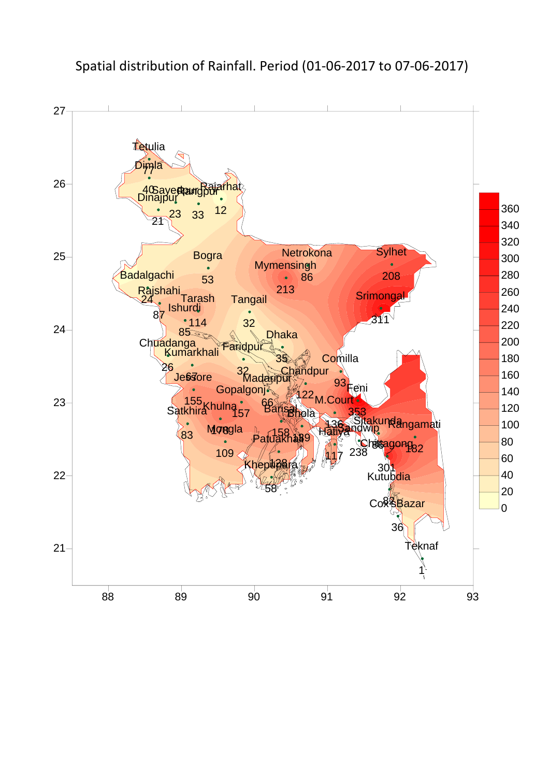

# Spatial distribution of Rainfall. Period (01-06-2017 to 07-06-2017)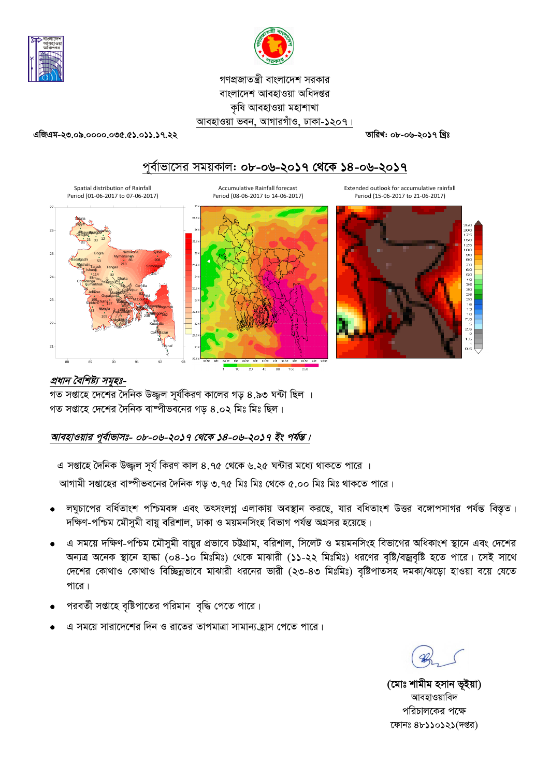



## গণপ্রজাতন্ত্রী বাংলাদেশ সরকার বাংলাদেশ আবহাওয়া অধিদপ্তর কৃষি আবহাওয়া মহাশাখা আবহাওয়া ভবন, আগারগাঁও, ঢাকা-১২০৭।

#### 96.023.39.39.0000.000.000.000

তারিখ: ০৮-০৬-২০১৭ খিঃ



# পূর্বাভাসের সময়কাল: ০৮-০৬-২০১৭ থেকে ১৪-০৬-২০১৭

প্রধান বৈশিষ্ট্য সমূহঃ-

গত সপ্তাহে দেশের দৈনিক উজ্জল সর্যকিরণ কালের গড় ৪.৯৩ ঘন্টা ছিল । গত সপ্তাহে দেশের দৈনিক বাষ্পীভবনের গড় ৪.০২ মিঃ মিঃ ছিল।

## আবহাওয়ার পূর্বাভাসঃ- ০৮-০৬-২০১৭ থেকে ১৪-০৬-২০১৭ ইং পর্যন্ত।

এ সপ্তাহে দৈনিক উজ্জল সূর্য কিরণ কাল ৪.৭৫ থেকে ৬.২৫ ঘন্টার মধ্যে থাকতে পারে । আগামী সপ্তাহের বাষ্পীভবনের দৈনিক গড় ৩.৭৫ মিঃ মিঃ থেকে ৫.০০ মিঃ মিঃ থাকতে পারে।

- লঘুচাপের বর্ধিতাংশ পশ্চিমবঙ্গ এবং তৎসংলগ্ন এলাকায় অবস্থান করছে, যার বধিতাংশ উত্তর বঙ্গোপসাগর পর্যন্ত বিস্তৃত। দক্ষিণ-পশ্চিম মৌসুমী বায়ু বরিশাল, ঢাকা ও ময়মনসিংহ বিভাগ পর্যন্ত অগ্রসর হয়েছে।
- এ সময়ে দক্ষিণ-পশ্চিম মৌসুমী বায়ুর প্রভাবে চট্টগ্রাম, বরিশাল, সিলেট ও ময়মনসিংহ বিভাগের অধিকাংশ স্থানে এবং দেশের অন্যত্র অনেক স্থানে হাঙ্কা (০৪-১০ মিঃমিঃ) থেকে মাঝারী (১১-২২ মিঃমিঃ) ধরণের বৃষ্টি/বজ্রবৃষ্টি হতে পারে। সেই সাথে দেশের কোথাও কোথাও বিচ্ছিন্নভাবে মাঝারী ধরনের ভারী (২৩-৪৩ মিঃমিঃ) বৃষ্টিপাতসহ দমকা/ঝড়ো হাওয়া বয়ে যেতে পারে।
- পরবর্তী সপ্তাহে বৃষ্টিপাতের পরিমান বৃদ্ধি পেতে পারে।
- এ সময়ে সারাদেশের দিন ও রাতের তাপমাত্রা সামান্য হ্রাস পেতে পারে।

(মোঃ শামীম হসান ভূইয়া) আবহাওয়াবিদ পরিচালকের পক্ষে ফোনঃ ৪৮১১০১২১(দপ্তর)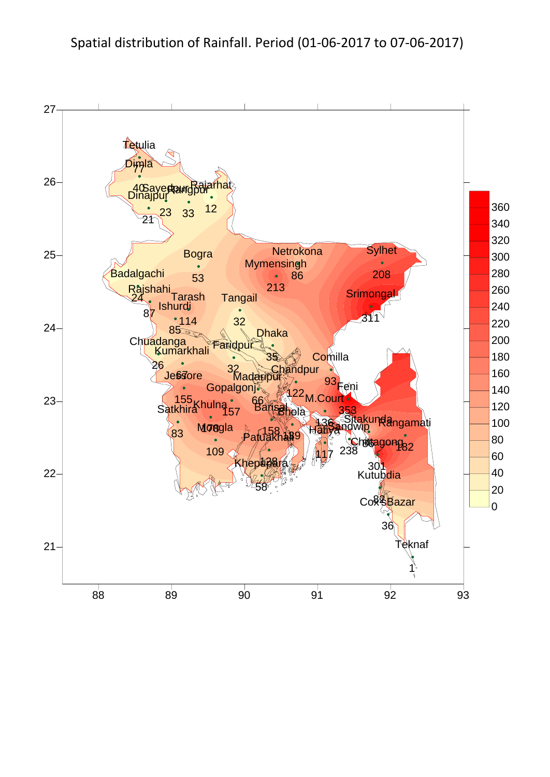# Spatial distribution of Rainfall. Period (01-06-2017 to 07-06-2017)